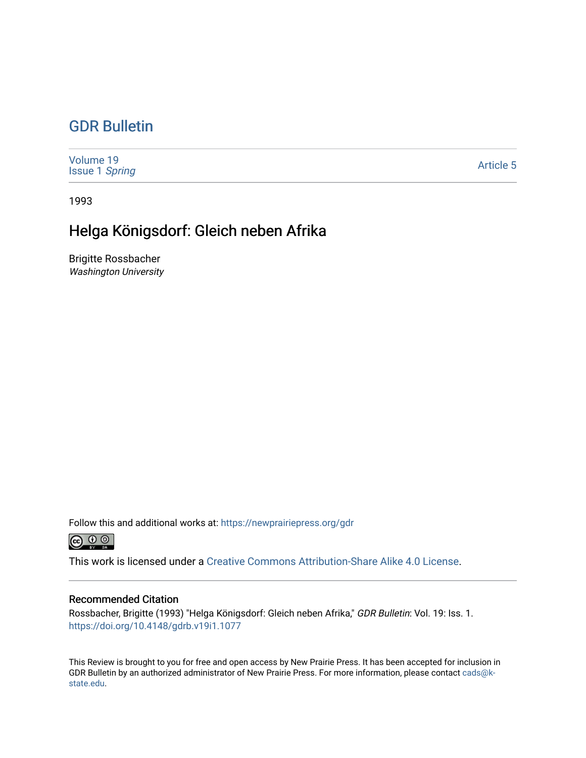## [GDR Bulletin](https://newprairiepress.org/gdr)

| Volume 19<br><b>Issue 1 Spring</b> | <b>Article 5</b> |
|------------------------------------|------------------|
|------------------------------------|------------------|

1993

## Helga Königsdorf: Gleich neben Afrika

Brigitte Rossbacher Washington University

Follow this and additional works at: [https://newprairiepress.org/gdr](https://newprairiepress.org/gdr?utm_source=newprairiepress.org%2Fgdr%2Fvol19%2Fiss1%2F5&utm_medium=PDF&utm_campaign=PDFCoverPages) 



This work is licensed under a [Creative Commons Attribution-Share Alike 4.0 License.](https://creativecommons.org/licenses/by-sa/4.0/)

## Recommended Citation

Rossbacher, Brigitte (1993) "Helga Königsdorf: Gleich neben Afrika," GDR Bulletin: Vol. 19: Iss. 1. <https://doi.org/10.4148/gdrb.v19i1.1077>

This Review is brought to you for free and open access by New Prairie Press. It has been accepted for inclusion in GDR Bulletin by an authorized administrator of New Prairie Press. For more information, please contact [cads@k](mailto:cads@k-state.edu)[state.edu](mailto:cads@k-state.edu).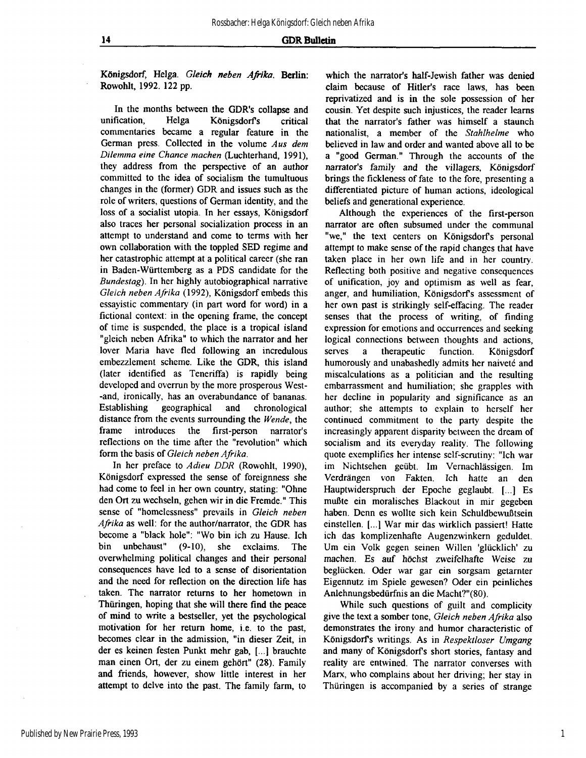## **14 GDR Bulletin**

Königsdorf, Helga. *Gleich neben Afrika.* Berlin: Rowohlt, 1992. 122 pp.

In the months between the GDR's collapse and unification, Helga Königsdorfs critical commentaries became a regular feature in the German press. Collected in the volume *Aus dem Dilemma eine Chance machen* (Luchterhand, 1991), they address from the perspective of an author committed to the idea of socialism the tumultuous changes in the (former) GDR and issues such as the role of writers, questions of German identity, and the loss of a socialist utopia. In her essays, Königsdorf also traces her personal socialization process in an attempt to understand and come to terms with her own collaboration with the toppled SED regime and her catastrophic attempt at a political career (she ran in Baden-Württemberg as a PDS candidate for the *Bundestag).* In her highly autobiographical narrative *Gleich neben Afrika (19*92), Königsdorf embeds this essayistic commentary (in part word for word) in a fictional context: in the opening frame, the concept of time is suspended, the place is a tropical island "gleich neben Afrika" to which the narrator and her lover Maria have fled following an incredulous embezzlement scheme. Like the GDR, this island (later identified as Teneriffa) is rapidly being developed and overrun by the more prosperous West- -and, ironically, has an overabundance of bananas. Establishing geographical and chronological distance from the events surrounding the *Wende,* the frame introduces the first-person narrator's reflections on the time after the "revolution" which form the basis of *Gleich neben Afrika.* 

In her preface to *Adieu DDR* (Rowohlt, 1990), Königsdorf expressed the sense of foreignness she had come to feel in her own country, stating: "Ohne den Ort zu wechseln, gehen wir in die Fremde." This sense of "homelessness" prevails in *Gleich neben Afrika* as well; for the author/narrator, the GDR has become a "black hole": "Wo bin ich zu Hause. Ich bin unbehaust" (9-10), she exclaims. The overwhelming political changes and their personal consequences have led to a sense of disorientation and the need for reflection on the direction life has taken. The narrator returns to her hometown in Thüringen, hoping that she will there find the peace of mind to write a bestseller, yet the psychological motivation for her return home, i.e. to the past, becomes clear in the admission, "in dieser Zeit, in der es keinen festen Punkt mehr gab, [...] brauchte man einen Ort, der zu einem gehört" (28). Family and friends, however, show little interest in her attempt to delve into the past. The family farm, to

which the narrator's half-Jewish father was denied claim because of Hitler's race laws, has been reprivatized and is in the sole possession of her cousin. Yet despite such injustices, the reader learns that the narrator's father was himself a staunch nationalist, a member of the *Stahlhelme* who believed in law and order and wanted above all to be a "good German." Through the accounts of the narrator's family and the villagers, Königsdorf brings the fickleness of fate to the fore, presenting a differentiated picture of human actions, ideological beliefs and generational experience.

Although the experiences of the first-person narrator are often subsumed under the communal "we," the text centers on Königsdorf's personal attempt to make sense of the rapid changes that have taken place in her own life and in her country. Reflecting both positive and negative consequences of unification, joy and optimism as well as fear, anger, and humiliation, Königsdorfs assessment of her own past is strikingly self-effacing. The reader senses that the process of writing, of finding expression for emotions and occurrences and seeking logical connections between thoughts and actions, serves a therapeutic function. Königsdorf humorously and unabashedly admits her naiveté and miscalculations as a politician and the resulting embarrassment and humiliation; she grapples with her decline in popularity and significance as an author; she attempts to explain to herself her continued commitment to the party despite the increasingly apparent disparity between the dream of socialism and its everyday reality. The following quote exemplifies her intense self-scrutiny: "Ich war im Nichtsehen geübt. Im Vernachlässigen. Im Verdrängen von Fakten. Ich hatte an den Hauptwiderspruch der Epoche geglaubt. [...] Es mußte ein moralisches Blackout in mir gegeben haben. Denn es wollte sich kein Schuldbewußtsein einstellen. [...] War mir das wirklich passiert! Hatte ich das komplizenhafte Augenzwinkern geduldet. Um ein Volk gegen seinen Willen 'glücklich' zu machen. Es auf höchst zweifelhafte Weise zu beglücken. Oder war gar ein sorgsam getarnter Eigennutz im Spiele gewesen? Oder ein peinliches Anlehnungsbedürfnis an die Macht?"(80).

While such questions of guilt and complicity give the text a somber tone, *Gleich neben Afrika* also demonstrates the irony and humor characteristic of Königsdorfs writings. As in *Respektloser Umgang*  and many of Königsdorfs short stories, fantasy and reality are entwined. The narrator converses with Marx, who complains about her driving; her stay in Thüringen is accompanied by a series of strange